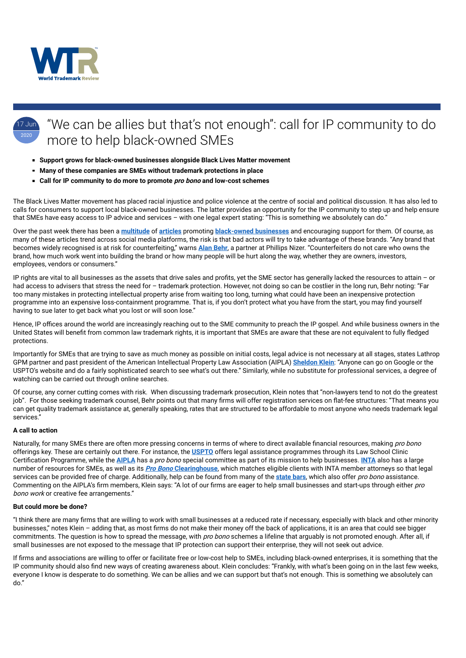

## 17 Jun 2020 "We can be allies but that's not enough": call for IP community to do more to help black-owned SMEs

- **Support grows for black-owned businesses alongside Black Lives Matter movement**
- **Many of these companies are SMEs without trademark protections in place**
- **Call for IP community to do more to promote pro bono and low-cost schemes**

The Black Lives Matter movement has placed racial injustice and police violence at the centre of social and political discussion. It has also led to calls for consumers to support local black-owned businesses. The latter provides an opportunity for the IP community to step up and help ensure that SMEs have easy access to IP advice and services – with one legal expert stating: "This is something we absolutely can do."

Over the past week there has been a **multitude** of **articles** promoting **black-owned businesses** and encouraging support for them. Of course, as many of these articles trend across social media platforms, the risk is that bad actors will try to take advantage of these brands. "Any brand that becomes widely recognised is at risk for counterfeiting," warns **Alan Behr**, a partner at Phillips Nizer. "Counterfeiters do not care who owns the brand, how much work went into building the brand or how many people will be hurt along the way, whether they are owners, investors, employees, vendors or consumers."

IP rights are vital to all businesses as the assets that drive sales and profits, yet the SME sector has generally lacked the resources to attain – or had access to advisers that stress the need for – trademark protection. However, not doing so can be costlier in the long run, Behr noting: "Far too many mistakes in protecting intellectual property arise from waiting too long, turning what could have been an inexpensive protection programme into an expensive loss-containment programme. That is, if you don't protect what you have from the start, you may find yourself having to sue later to get back what you lost or will soon lose."

Hence, IP offices around the world are increasingly reaching out to the SME community to preach the IP gospel. And while business owners in the United States will benefit from common law trademark rights, it is important that SMEs are aware that these are not equivalent to fully fledged protections.

Importantly for SMEs that are trying to save as much money as possible on initial costs, legal advice is not necessary at all stages, states Lathrop GPM partner and past president of the American Intellectual Property Law Association (AIPLA) **Sheldon Klein**: "Anyone can go on Google or the USPTO's website and do a fairly sophisticated search to see what's out there." Similarly, while no substitute for professional services, a degree of watching can be carried out through online searches.

Of course, any corner cutting comes with risk. When discussing trademark prosecution, Klein notes that "non-lawyers tend to not do the greatest job". For those seeking trademark counsel, Behr points out that many firms will offer registration services on flat-fee structures: "That means you can get quality trademark assistance at, generally speaking, rates that are structured to be affordable to most anyone who needs trademark legal services."

## **A call to action**

Naturally, for many SMEs there are often more pressing concerns in terms of where to direct available financial resources, making *pro bono* offerings key. These are certainly out there. For instance, the **USPTO** offers legal assistance programmes through its Law School Clinic Certification Programme, while the **AIPLA** has a pro bono special committee as part of its mission to help businesses. **INTA** also has a large number of resources for SMEs, as well as its **Pro Bono Clearinghouse**, which matches eligible clients with INTA member attorneys so that legal services can be provided free of charge. Additionally, help can be found from many of the **state bars**, which also offer pro bono assistance. Commenting on the AIPLA's firm members, Klein says: "A lot of our firms are eager to help small businesses and start-ups through either pro bono work or creative fee arrangements."

## **But could more be done?**

"I think there are many firms that are willing to work with small businesses at a reduced rate if necessary, especially with black and other minority businesses," notes Klein – adding that, as most firms do not make their money off the back of applications, it is an area that could see bigger commitments. The question is how to spread the message, with *pro bono* schemes a lifeline that arguably is not promoted enough. After all, if small businesses are not exposed to the message that IP protection can support their enterprise, they will not seek out advice.

If firms and associations are willing to offer or facilitate free or low-cost help to SMEs, including black-owned enterprises, it is something that the IP community should also find new ways of creating awareness about. Klein concludes: "Frankly, with what's been going on in the last few weeks, everyone I know is desperate to do something. We can be allies and we can support but that's not enough. This is something we absolutely can do."